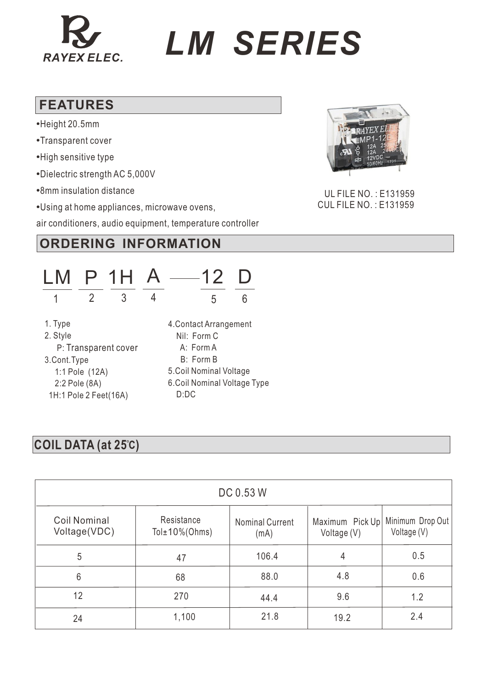

# *RAYEX ELEC. LM SERIES*

#### **FEATURES**

- **•**Height 20.5mm
- **•**Transparent cover
- **•**High sensitive type
- **•**Dielectric strength AC 5,000V
- **•**8mm insulation distance
- **•**Using at home appliances, microwave ovens,

air conditioners, audio equipment, temperature controller

## **ORDERING INFORMATION**



#### **COIL DATA (at 25 ) C**

| DC 0.53 W                           |                                  |                                |                                |                                 |  |
|-------------------------------------|----------------------------------|--------------------------------|--------------------------------|---------------------------------|--|
| <b>Coil Nominal</b><br>Voltage(VDC) | Resistance<br>Tol $±10\%$ (Ohms) | <b>Nominal Current</b><br>(mA) | Maximum Pick Up<br>Voltage (V) | Minimum Drop Out<br>Voltage (V) |  |
| 5                                   | 47                               | 106.4                          | 4                              | 0.5                             |  |
| 6                                   | 68                               | 88.0                           | 4.8                            | 0.6                             |  |
| 12                                  | 270                              | 44.4                           | 9.6                            | 1.2                             |  |
| 24                                  | 1,100                            | 21.8                           | 19.2                           | 2.4                             |  |



 UL FILE NO. : E131959 CUL FILE NO. : E131959